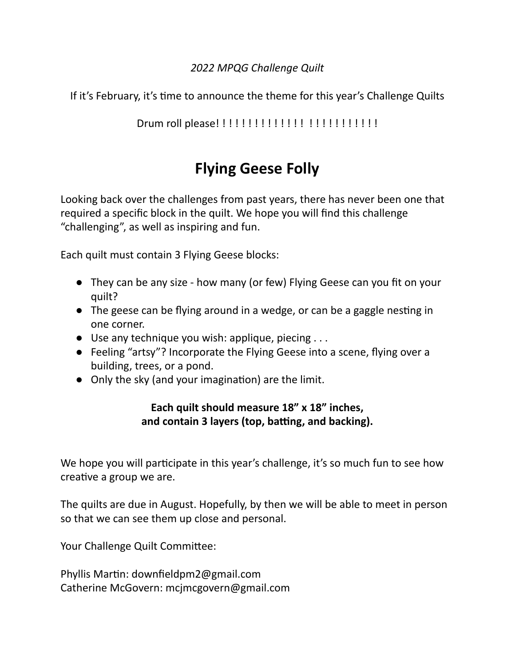### *2022 MPQG Challenge Quilt*

If it's February, it's time to announce the theme for this year's Challenge Quilts

### Drum roll please! ! ! ! ! ! ! ! ! ! ! ! ! ! ! ! ! ! ! ! ! ! ! ! !

# **Flying Geese Folly**

Looking back over the challenges from past years, there has never been one that required a specific block in the quilt. We hope you will find this challenge "challenging", as well as inspiring and fun.

Each quilt must contain 3 Flying Geese blocks:

- They can be any size how many (or few) Flying Geese can you fit on your quilt?
- $\bullet$  The geese can be flying around in a wedge, or can be a gaggle nesting in one corner.
- $\bullet$  Use any technique you wish: applique, piecing ...
- Feeling "artsy"? Incorporate the Flying Geese into a scene, flying over a building, trees, or a pond.
- $\bullet$  Only the sky (and your imagination) are the limit.

### **Each quilt should measure 18" x 18" inches, and contain 3** layers (top, batting, and backing).

We hope you will participate in this year's challenge, it's so much fun to see how creative a group we are.

The quilts are due in August. Hopefully, by then we will be able to meet in person so that we can see them up close and personal.

Your Challenge Quilt Committee:

Phyllis Martin: downfieldpm2@gmail.com Catherine McGovern: mcjmcgovern@gmail.com